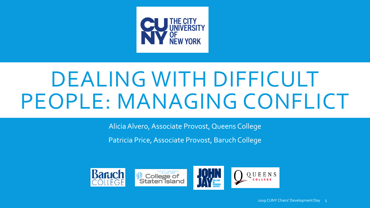

# DEALING WITH DIFFICULT PEOPLE: MANAGING CONFLICT

Alicia Alvero, Associate Provost, Queens College

Patricia Price, Associate Provost, Baruch College

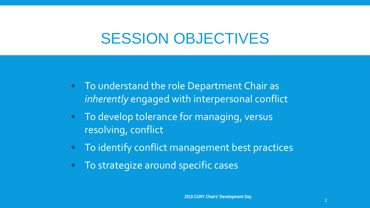# SESSION OBJECTIVES

- To understand the role Department Chair as *inherently* engaged with interpersonal conflict
- To develop tolerance for managing, versus resolving, conflict
- • To identify conflict management best practices
- • To strategize around specific cases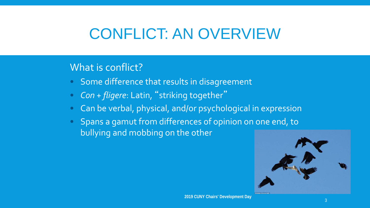# CONFLICT: AN OVERVIEW

#### What is conflict?

- Some difference that results in disagreement
- Con + fligere: Latin, "striking together"
- Can be verbal, physical, and/or psychological in expression
- Spans a gamut from differences of opinion on one end, to bullying and mobbing on the other

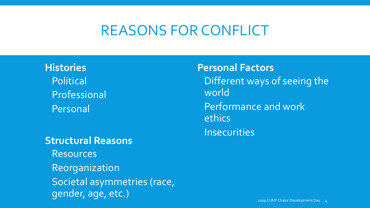#### REASONS FOR CONFLICT

**Histories**  Political Professional Personal

#### **Structural Reasons**

 Societal asymmetries (race, Resources Reorganization gender, age, etc.)

**Personal Factors**  Different ways of seeing the world Performance and work ethics **Insecurities**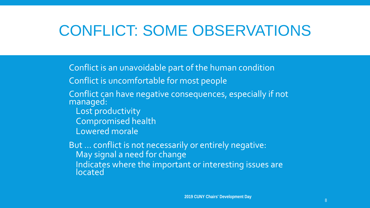# CONFLICT: SOME OBSERVATIONS

Conflict is an unavoidable part of the human condition

Conflict is uncomfortable for most people

- Conflict can have negative consequences, especially if not managed:
	- Lost productivity Compromised health
	- Lowered morale

But ... conflict is not necessarily or entirely negative: Indicates where the important or interesting issues are May signal a need for change located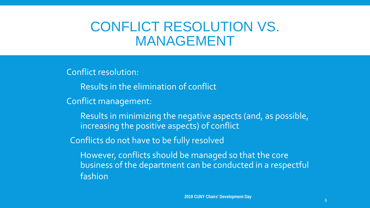#### CONFLICT RESOLUTION VS. MANAGEMENT

Conflict resolution:

Results in the elimination of conflict

Conflict management:

 Results in minimizing the negative aspects (and, as possible, increasing the positive aspects) of conflict

Conflicts do not have to be fully resolved

 However, conflicts should be managed so that the core business of the department can be conducted in a respectful fashion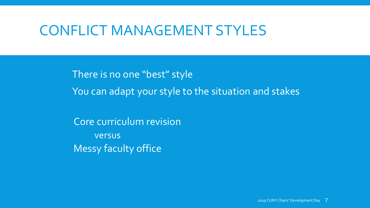### CONFLICT MANAGEMENT STYLES

 There is no one "best" style You can adapt your style to the situation and stakes

Core curriculum revision versus Messy faculty office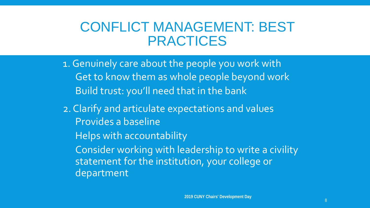#### CONFLICT MANAGEMENT: BEST PRACTICES

- Get to know them as whole people beyond work 1.Genuinely care about the people you work with Build trust: you'll need that in the bank
- 2. Clarify and articulate expectations and values Provides a baseline
	- Helps with accountability
	- Consider working with leadership to write a civility statement for the institution, your college or department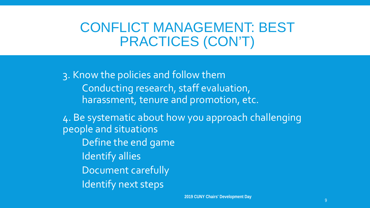### CONFLICT MANAGEMENT: BEST PRACTICES (CON'T)

3. Know the policies and follow them Conducting research, staff evaluation, harassment, tenure and promotion, etc.

4. Be systematic about how you approach challenging people and situations Define the end game Identify allies Document carefully Identify next steps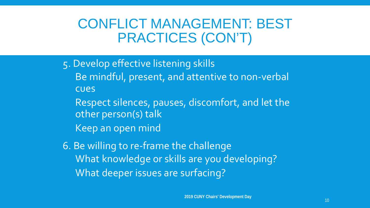### CONFLICT MANAGEMENT: BEST PRACTICES (CON'T)

- 5. Develop effective listening skills
	- Be mindful, present, and attentive to non-verbal cues
		- Respect silences, pauses, discomfort, and let the other person(s) talk
	- Keep an open mind
- 6. Be willing to re-frame the challenge What knowledge or skills are you developing? What deeper issues are surfacing?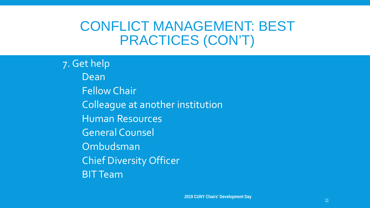### CONFLICT MANAGEMENT: BEST PRACTICES (CON'T)

7. Get help Dean Fellow Chair Colleague at another institution Human Resources General Counsel Ombudsman Chief Diversity Officer BIT Team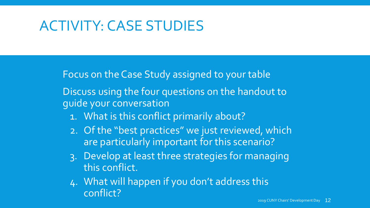## ACTIVITY: CASE STUDIES

Focus on the Case Study assigned to your table

Discuss using the four questions on the handout to guide your conversation

- 1. What is this conflict primarily about?
- are particularly important for this scenario? 2. Of the "best practices" we just reviewed, which
- 3. Develop at least three strategies for managing this conflict.
- 4. What will happen if you don't address this conflict? 2019 CUNY Chairs' Development Day 12